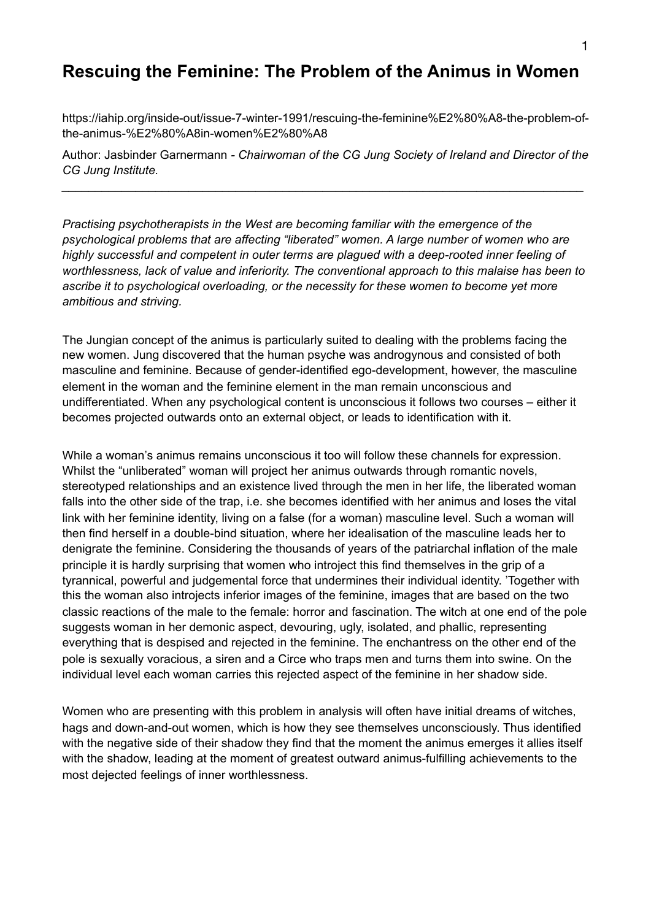# **Rescuing the Feminine: The Problem of the Animus in Women**

https://iahip.org/inside-out/issue-7-winter-1991/rescuing-the-feminine%E2%80%A8-the-problem-ofthe-animus-%E2%80%A8in-women%E2%80%A8

Author: Jasbinder Garnermann *- Chairwoman of the CG Jung Society of Ireland and Director of the CG Jung Institute.*

*\_\_\_\_\_\_\_\_\_\_\_\_\_\_\_\_\_\_\_\_\_\_\_\_\_\_\_\_\_\_\_\_\_\_\_\_\_\_\_\_\_\_\_\_\_\_\_\_\_\_\_\_\_\_\_\_\_\_\_\_\_\_\_\_\_\_\_\_\_\_\_\_\_\_\_\_\_\_* 

*Practising psychotherapists in the West are becoming familiar with the emergence of the psychological problems that are affecting "liberated" women. A large number of women who are highly successful and competent in outer terms are plagued with a deep-rooted inner feeling of worthlessness, lack of value and inferiority. The conventional approach to this malaise has been to ascribe it to psychological overloading, or the necessity for these women to become yet more ambitious and striving.*

The Jungian concept of the animus is particularly suited to dealing with the problems facing the new women. Jung discovered that the human psyche was androgynous and consisted of both masculine and feminine. Because of gender-identified ego-development, however, the masculine element in the woman and the feminine element in the man remain unconscious and undifferentiated. When any psychological content is unconscious it follows two courses – either it becomes projected outwards onto an external object, or leads to identification with it.

While a woman's animus remains unconscious it too will follow these channels for expression. Whilst the "unliberated" woman will project her animus outwards through romantic novels, stereotyped relationships and an existence lived through the men in her life, the liberated woman falls into the other side of the trap, i.e. she becomes identified with her animus and loses the vital link with her feminine identity, living on a false (for a woman) masculine level. Such a woman will then find herself in a double-bind situation, where her idealisation of the masculine leads her to denigrate the feminine. Considering the thousands of years of the patriarchal inflation of the male principle it is hardly surprising that women who introject this find themselves in the grip of a tyrannical, powerful and judgemental force that undermines their individual identity. 'Together with this the woman also introjects inferior images of the feminine, images that are based on the two classic reactions of the male to the female: horror and fascination. The witch at one end of the pole suggests woman in her demonic aspect, devouring, ugly, isolated, and phallic, representing everything that is despised and rejected in the feminine. The enchantress on the other end of the pole is sexually voracious, a siren and a Circe who traps men and turns them into swine. On the individual level each woman carries this rejected aspect of the feminine in her shadow side.

Women who are presenting with this problem in analysis will often have initial dreams of witches, hags and down-and-out women, which is how they see themselves unconsciously. Thus identified with the negative side of their shadow they find that the moment the animus emerges it allies itself with the shadow, leading at the moment of greatest outward animus-fulfilling achievements to the most dejected feelings of inner worthlessness.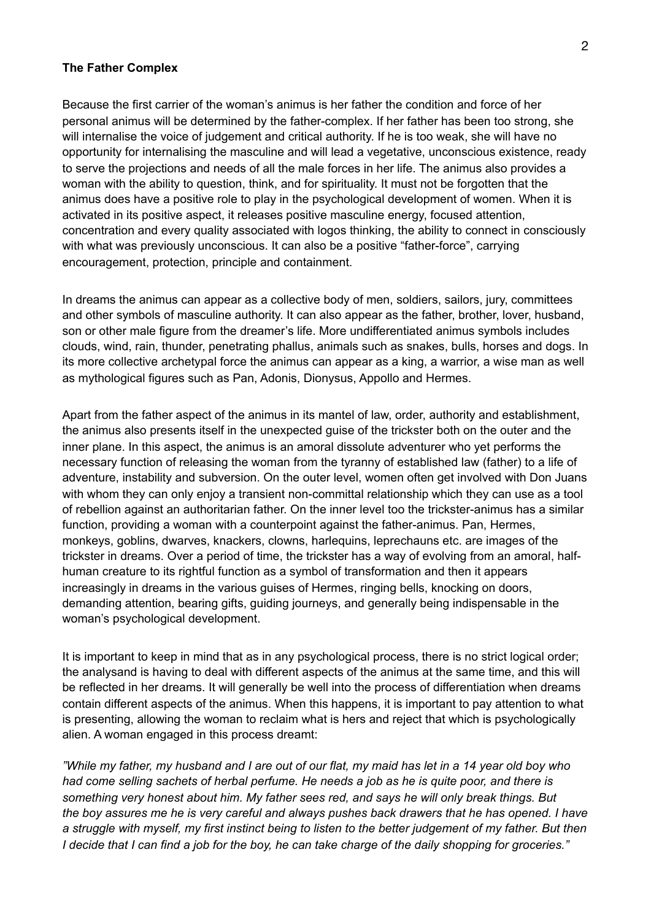#### **The Father Complex**

Because the first carrier of the woman's animus is her father the condition and force of her personal animus will be determined by the father-complex. If her father has been too strong, she will internalise the voice of judgement and critical authority. If he is too weak, she will have no opportunity for internalising the masculine and will lead a vegetative, unconscious existence, ready to serve the projections and needs of all the male forces in her life. The animus also provides a woman with the ability to question, think, and for spirituality. It must not be forgotten that the animus does have a positive role to play in the psychological development of women. When it is activated in its positive aspect, it releases positive masculine energy, focused attention, concentration and every quality associated with logos thinking, the ability to connect in consciously with what was previously unconscious. It can also be a positive "father-force", carrying encouragement, protection, principle and containment.

In dreams the animus can appear as a collective body of men, soldiers, sailors, jury, committees and other symbols of masculine authority. It can also appear as the father, brother, lover, husband, son or other male figure from the dreamer's life. More undifferentiated animus symbols includes clouds, wind, rain, thunder, penetrating phallus, animals such as snakes, bulls, horses and dogs. In its more collective archetypal force the animus can appear as a king, a warrior, a wise man as well as mythological figures such as Pan, Adonis, Dionysus, Appollo and Hermes.

Apart from the father aspect of the animus in its mantel of law, order, authority and establishment, the animus also presents itself in the unexpected guise of the trickster both on the outer and the inner plane. In this aspect, the animus is an amoral dissolute adventurer who yet performs the necessary function of releasing the woman from the tyranny of established law (father) to a life of adventure, instability and subversion. On the outer level, women often get involved with Don Juans with whom they can only enjoy a transient non-committal relationship which they can use as a tool of rebellion against an authoritarian father. On the inner level too the trickster-animus has a similar function, providing a woman with a counterpoint against the father-animus. Pan, Hermes, monkeys, goblins, dwarves, knackers, clowns, harlequins, leprechauns etc. are images of the trickster in dreams. Over a period of time, the trickster has a way of evolving from an amoral, halfhuman creature to its rightful function as a symbol of transformation and then it appears increasingly in dreams in the various guises of Hermes, ringing bells, knocking on doors, demanding attention, bearing gifts, guiding journeys, and generally being indispensable in the woman's psychological development.

It is important to keep in mind that as in any psychological process, there is no strict logical order; the analysand is having to deal with different aspects of the animus at the same time, and this will be reflected in her dreams. It will generally be well into the process of differentiation when dreams contain different aspects of the animus. When this happens, it is important to pay attention to what is presenting, allowing the woman to reclaim what is hers and reject that which is psychologically alien. A woman engaged in this process dreamt:

*"While my father, my husband and I are out of our flat, my maid has let in a 14 year old boy who had come selling sachets of herbal perfume. He needs a job as he is quite poor, and there is something very honest about him. My father sees red, and says he will only break things. But the boy assures me he is very careful and always pushes back drawers that he has opened. I have a struggle with myself, my first instinct being to listen to the better judgement of my father. But then I decide that I can find a job for the boy, he can take charge of the daily shopping for groceries."*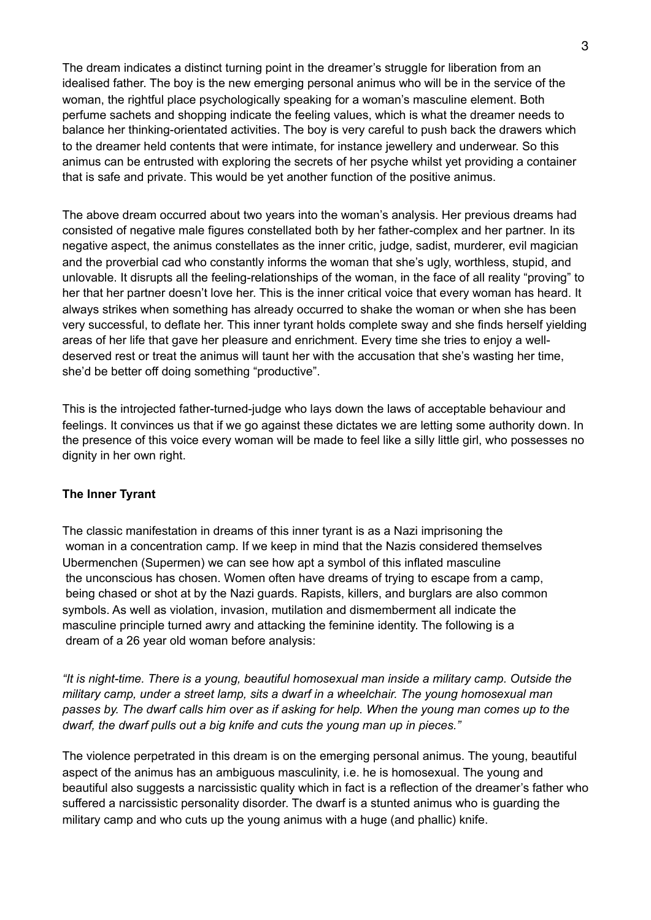The dream indicates a distinct turning point in the dreamer's struggle for liberation from an idealised father. The boy is the new emerging personal animus who will be in the service of the woman, the rightful place psychologically speaking for a woman's masculine element. Both perfume sachets and shopping indicate the feeling values, which is what the dreamer needs to balance her thinking-orientated activities. The boy is very careful to push back the drawers which to the dreamer held contents that were intimate, for instance jewellery and underwear. So this animus can be entrusted with exploring the secrets of her psyche whilst yet providing a container that is safe and private. This would be yet another function of the positive animus.

The above dream occurred about two years into the woman's analysis. Her previous dreams had consisted of negative male figures constellated both by her father-complex and her partner. In its negative aspect, the animus constellates as the inner critic, judge, sadist, murderer, evil magician and the proverbial cad who constantly informs the woman that she's ugly, worthless, stupid, and unlovable. It disrupts all the feeling-relationships of the woman, in the face of all reality "proving" to her that her partner doesn't love her. This is the inner critical voice that every woman has heard. It always strikes when something has already occurred to shake the woman or when she has been very successful, to deflate her. This inner tyrant holds complete sway and she finds herself yielding areas of her life that gave her pleasure and enrichment. Every time she tries to enjoy a welldeserved rest or treat the animus will taunt her with the accusation that she's wasting her time, she'd be better off doing something "productive".

This is the introjected father-turned-judge who lays down the laws of acceptable behaviour and feelings. It convinces us that if we go against these dictates we are letting some authority down. In the presence of this voice every woman will be made to feel like a silly little girl, who possesses no dignity in her own right.

## **The Inner Tyrant**

The classic manifestation in dreams of this inner tyrant is as a Nazi imprisoning the woman in a concentration camp. If we keep in mind that the Nazis considered themselves Ubermenchen (Supermen) we can see how apt a symbol of this inflated masculine the unconscious has chosen. Women often have dreams of trying to escape from a camp, being chased or shot at by the Nazi guards. Rapists, killers, and burglars are also common symbols. As well as violation, invasion, mutilation and dismemberment all indicate the masculine principle turned awry and attacking the feminine identity. The following is a dream of a 26 year old woman before analysis:

*"It is night-time. There is a young, beautiful homosexual man inside a military camp. Outside the military camp, under a street lamp, sits a dwarf in a wheelchair. The young homosexual man passes by. The dwarf calls him over as if asking for help. When the young man comes up to the dwarf, the dwarf pulls out a big knife and cuts the young man up in pieces."*

The violence perpetrated in this dream is on the emerging personal animus. The young, beautiful aspect of the animus has an ambiguous masculinity, i.e. he is homosexual. The young and beautiful also suggests a narcissistic quality which in fact is a reflection of the dreamer's father who suffered a narcissistic personality disorder. The dwarf is a stunted animus who is guarding the military camp and who cuts up the young animus with a huge (and phallic) knife.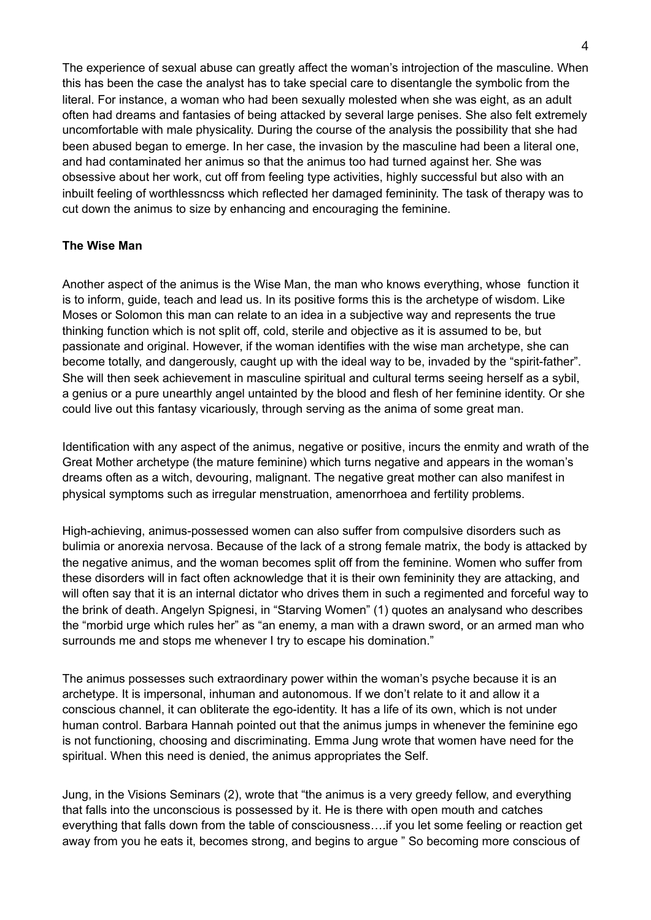The experience of sexual abuse can greatly affect the woman's introjection of the masculine. When this has been the case the analyst has to take special care to disentangle the symbolic from the literal. For instance, a woman who had been sexually molested when she was eight, as an adult often had dreams and fantasies of being attacked by several large penises. She also felt extremely uncomfortable with male physicality. During the course of the analysis the possibility that she had been abused began to emerge. In her case, the invasion by the masculine had been a literal one, and had contaminated her animus so that the animus too had turned against her. She was obsessive about her work, cut off from feeling type activities, highly successful but also with an inbuilt feeling of worthlessncss which reflected her damaged femininity. The task of therapy was to cut down the animus to size by enhancing and encouraging the feminine.

# **The Wise Man**

Another aspect of the animus is the Wise Man, the man who knows everything, whose function it is to inform, guide, teach and lead us. In its positive forms this is the archetype of wisdom. Like Moses or Solomon this man can relate to an idea in a subjective way and represents the true thinking function which is not split off, cold, sterile and objective as it is assumed to be, but passionate and original. However, if the woman identifies with the wise man archetype, she can become totally, and dangerously, caught up with the ideal way to be, invaded by the "spirit-father". She will then seek achievement in masculine spiritual and cultural terms seeing herself as a sybil, a genius or a pure unearthly angel untainted by the blood and flesh of her feminine identity. Or she could live out this fantasy vicariously, through serving as the anima of some great man.

Identification with any aspect of the animus, negative or positive, incurs the enmity and wrath of the Great Mother archetype (the mature feminine) which turns negative and appears in the woman's dreams often as a witch, devouring, malignant. The negative great mother can also manifest in physical symptoms such as irregular menstruation, amenorrhoea and fertility problems.

High-achieving, animus-possessed women can also suffer from compulsive disorders such as bulimia or anorexia nervosa. Because of the lack of a strong female matrix, the body is attacked by the negative animus, and the woman becomes split off from the feminine. Women who suffer from these disorders will in fact often acknowledge that it is their own femininity they are attacking, and will often say that it is an internal dictator who drives them in such a regimented and forceful way to the brink of death. Angelyn Spignesi, in "Starving Women" (1) quotes an analysand who describes the "morbid urge which rules her" as "an enemy, a man with a drawn sword, or an armed man who surrounds me and stops me whenever I try to escape his domination."

The animus possesses such extraordinary power within the woman's psyche because it is an archetype. It is impersonal, inhuman and autonomous. If we don't relate to it and allow it a conscious channel, it can obliterate the ego-identity. It has a life of its own, which is not under human control. Barbara Hannah pointed out that the animus jumps in whenever the feminine ego is not functioning, choosing and discriminating. Emma Jung wrote that women have need for the spiritual. When this need is denied, the animus appropriates the Self.

Jung, in the Visions Seminars (2), wrote that "the animus is a very greedy fellow, and everything that falls into the unconscious is possessed by it. He is there with open mouth and catches everything that falls down from the table of consciousness….if you let some feeling or reaction get away from you he eats it, becomes strong, and begins to argue " So becoming more conscious of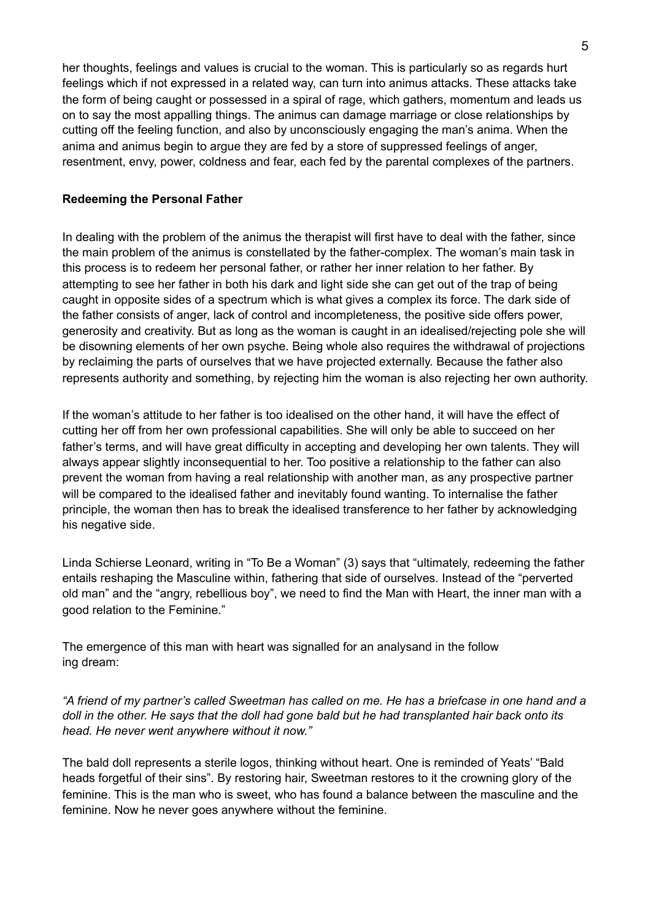her thoughts, feelings and values is crucial to the woman. This is particularly so as regards hurt feelings which if not expressed in a related way, can turn into animus attacks. These attacks take the form of being caught or possessed in a spiral of rage, which gathers, momentum and leads us on to say the most appalling things. The animus can damage marriage or close relationships by cutting off the feeling function, and also by unconsciously engaging the man's anima. When the anima and animus begin to argue they are fed by a store of suppressed feelings of anger, resentment, envy, power, coldness and fear, each fed by the parental complexes of the partners.

# **Redeeming the Personal Father**

In dealing with the problem of the animus the therapist will first have to deal with the father, since the main problem of the animus is constellated by the father-complex. The woman's main task in this process is to redeem her personal father, or rather her inner relation to her father. By attempting to see her father in both his dark and light side she can get out of the trap of being caught in opposite sides of a spectrum which is what gives a complex its force. The dark side of the father consists of anger, lack of control and incompleteness, the positive side offers power, generosity and creativity. But as long as the woman is caught in an idealised/rejecting pole she will be disowning elements of her own psyche. Being whole also requires the withdrawal of projections by reclaiming the parts of ourselves that we have projected externally. Because the father also represents authority and something, by rejecting him the woman is also rejecting her own authority.

If the woman's attitude to her father is too idealised on the other hand, it will have the effect of cutting her off from her own professional capabilities. She will only be able to succeed on her father's terms, and will have great difficulty in accepting and developing her own talents. They will always appear slightly inconsequential to her. Too positive a relationship to the father can also prevent the woman from having a real relationship with another man, as any prospective partner will be compared to the idealised father and inevitably found wanting. To internalise the father principle, the woman then has to break the idealised transference to her father by acknowledging his negative side.

Linda Schierse Leonard, writing in "To Be a Woman" (3) says that "ultimately, redeeming the father entails reshaping the Masculine within, fathering that side of ourselves. Instead of the "perverted old man" and the "angry, rebellious boy", we need to find the Man with Heart, the inner man with a good relation to the Feminine."

The emergence of this man with heart was signalled for an analysand in the follow ing dream:

*"A friend of my partner's called Sweetman has called on me. He has a briefcase in one hand and a doll in the other. He says that the doll had gone bald but he had transplanted hair back onto its head. He never went anywhere without it now."*

The bald doll represents a sterile logos, thinking without heart. One is reminded of Yeats' "Bald heads forgetful of their sins". By restoring hair, Sweetman restores to it the crowning glory of the feminine. This is the man who is sweet, who has found a balance between the masculine and the feminine. Now he never goes anywhere without the feminine.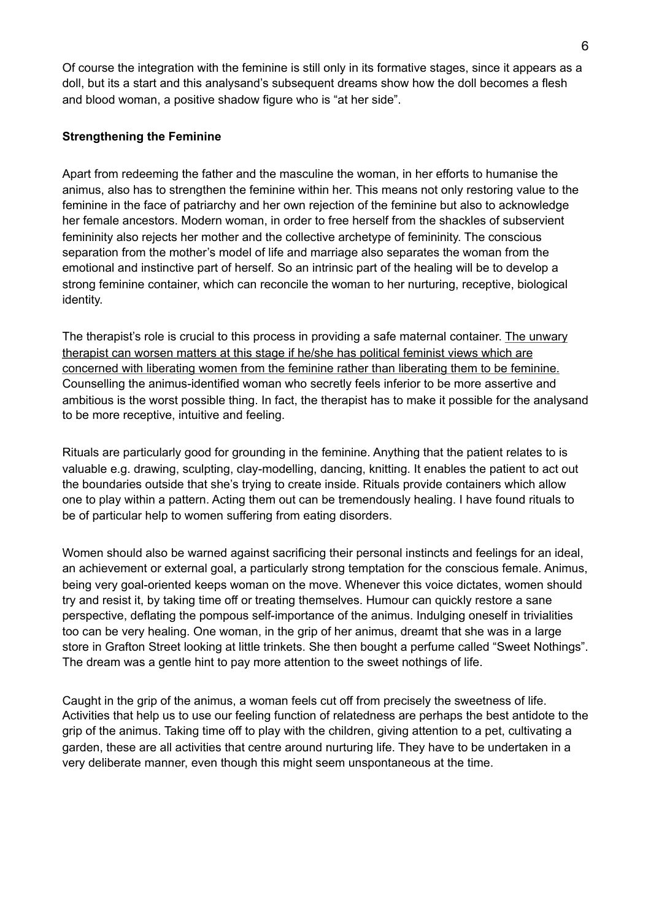Of course the integration with the feminine is still only in its formative stages, since it appears as a doll, but its a start and this analysand's subsequent dreams show how the doll becomes a flesh and blood woman, a positive shadow figure who is "at her side".

## **Strengthening the Feminine**

Apart from redeeming the father and the masculine the woman, in her efforts to humanise the animus, also has to strengthen the feminine within her. This means not only restoring value to the feminine in the face of patriarchy and her own rejection of the feminine but also to acknowledge her female ancestors. Modern woman, in order to free herself from the shackles of subservient femininity also rejects her mother and the collective archetype of femininity. The conscious separation from the mother's model of life and marriage also separates the woman from the emotional and instinctive part of herself. So an intrinsic part of the healing will be to develop a strong feminine container, which can reconcile the woman to her nurturing, receptive, biological identity.

The therapist's role is crucial to this process in providing a safe maternal container. The unwary therapist can worsen matters at this stage if he/she has political feminist views which are concerned with liberating women from the feminine rather than liberating them to be feminine. Counselling the animus-identified woman who secretly feels inferior to be more assertive and ambitious is the worst possible thing. In fact, the therapist has to make it possible for the analysand to be more receptive, intuitive and feeling.

Rituals are particularly good for grounding in the feminine. Anything that the patient relates to is valuable e.g. drawing, sculpting, clay-modelling, dancing, knitting. It enables the patient to act out the boundaries outside that she's trying to create inside. Rituals provide containers which allow one to play within a pattern. Acting them out can be tremendously healing. I have found rituals to be of particular help to women suffering from eating disorders.

Women should also be warned against sacrificing their personal instincts and feelings for an ideal, an achievement or external goal, a particularly strong temptation for the conscious female. Animus, being very goal-oriented keeps woman on the move. Whenever this voice dictates, women should try and resist it, by taking time off or treating themselves. Humour can quickly restore a sane perspective, deflating the pompous self-importance of the animus. Indulging oneself in trivialities too can be very healing. One woman, in the grip of her animus, dreamt that she was in a large store in Grafton Street looking at little trinkets. She then bought a perfume called "Sweet Nothings". The dream was a gentle hint to pay more attention to the sweet nothings of life.

Caught in the grip of the animus, a woman feels cut off from precisely the sweetness of life. Activities that help us to use our feeling function of relatedness are perhaps the best antidote to the grip of the animus. Taking time off to play with the children, giving attention to a pet, cultivating a garden, these are all activities that centre around nurturing life. They have to be undertaken in a very deliberate manner, even though this might seem unspontaneous at the time.